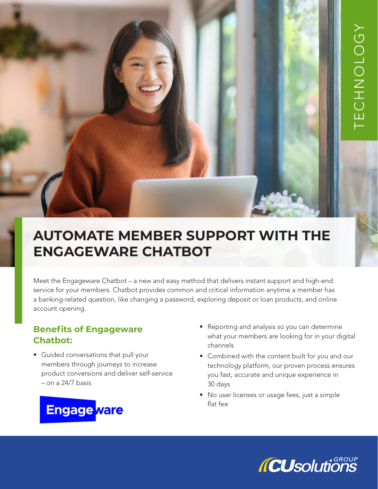# **AUTOMATE MEMBER SUPPORT WITH THE ENGAGEWARE CHATBOT**

Meet the Engageware Chatbot – a new and easy method that delivers instant support and high-end service for your members. Chatbot provides common and critical information anytime a member has a banking-related question, like changing a password, exploring deposit or loan products, and online account opening.

### **Benefits of Engageware Chatbot:**

• Guided conversations that pull your members through journeys to increase product conversions and deliver self-service – on a 24/7 basis



- Reporting and analysis so you can determine what your members are looking for in your digital channels
- Combined with the content built for you and our technology platform, our proven process ensures you fast, accurate and unique experience in 30 days
- No user licenses or usage fees, just a simple flat fee